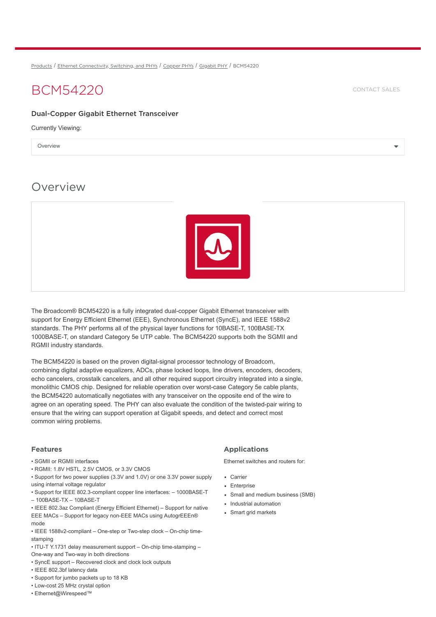[Products](https://www.broadcom.com/products) / Ethernet [Connectivity,](https://www.broadcom.com/products/ethernet-connectivity/) Switching, and PHYs / [Copper](https://www.broadcom.com/products/ethernet-connectivity/copper-phy/) PHYs / [Gigabit](https://www.broadcom.com/products/ethernet-connectivity/copper-phy/gigabit-phy/) PHY / BCM54220

# BCM54220 [CONTACT](https://www.broadcom.com/how-to-buy/#sales) SALES

### Dual-Copper Gigabit Ethernet Transceiver

Currently Viewing:

Overview  $\blacktriangledown$ 

# **Overview**



The Broadcom® BCM54220 is a fully integrated dual-copper Gigabit Ethernet transceiver with support for Energy Efficient Ethernet (EEE), Synchronous Ethernet (SyncE), and IEEE 1588v2 standards. The PHY performs all of the physical layer functions for 10BASE-T, 100BASE-TX 1000BASE-T, on standard Category 5e UTP cable. The BCM54220 supports both the SGMII and RGMII industry standards.

The BCM54220 is based on the proven digital-signal processor technology of Broadcom, combining digital adaptive equalizers, ADCs, phase locked loops, line drivers, encoders, decoders, echo cancelers, crosstalk cancelers, and all other required support circuitry integrated into a single, monolithic CMOS chip. Designed for reliable operation over worst-case Category 5e cable plants, the BCM54220 automatically negotiates with any transceiver on the opposite end of the wire to agree on an operating speed. The PHY can also evaluate the condition of the twisted-pair wiring to ensure that the wiring can support operation at Gigabit speeds, and detect and correct most common wiring problems.

#### Features

• SGMII or RGMII interfaces

• RGMII: 1.8V HSTL, 2.5V CMOS, or 3.3V CMOS

• Support for two power supplies (3.3V and 1.0V) or one 3.3V power supply using internal voltage regulator

• Support for IEEE 802.3-compliant copper line interfaces: – 1000BASE-T – 100BASE-TX – 10BASE-T

• IEEE 802.3az Compliant (Energy Efficient Ethernet) – Support for native EEE MACs – Support for legacy non-EEE MACs using AutogrEEEn® mode

• IEEE 1588v2-compliant – One-step or Two-step clock – On-chip timestamping

• ITU-T Y.1731 delay measurement support – On-chip time-stamping –

One-way and Two-way in both directions

- SyncE support Recovered clock and clock lock outputs
- IEEE 802.3bf latency data
- Support for jumbo packets up to 18 KB
- Low-cost 25 MHz crystal option
- Ethernet@Wirespeed™

### Applications

Ethernet switches and routers for:

- Carrier
- Enterprise
- Small and medium business (SMB)
- Industrial automation
- Smart grid markets